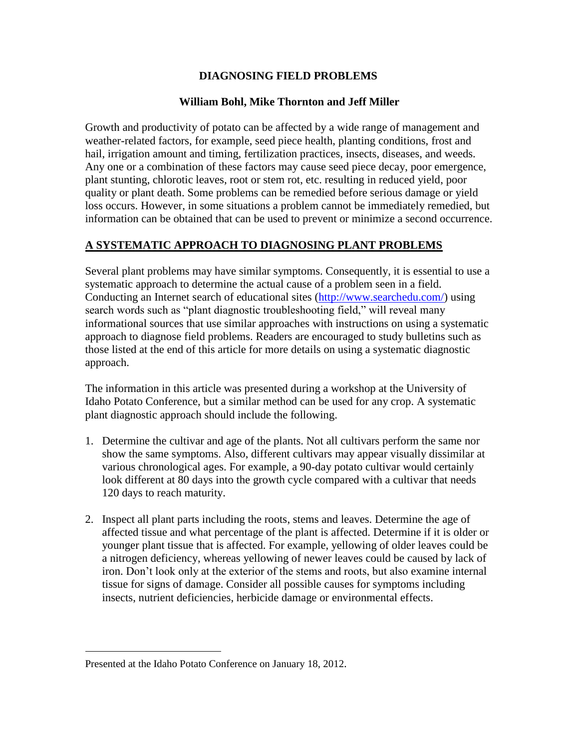#### **DIAGNOSING FIELD PROBLEMS**

#### **William Bohl, Mike Thornton and Jeff Miller**

Growth and productivity of potato can be affected by a wide range of management and weather-related factors, for example, seed piece health, planting conditions, frost and hail, irrigation amount and timing, fertilization practices, insects, diseases, and weeds. Any one or a combination of these factors may cause seed piece decay, poor emergence, plant stunting, chlorotic leaves, root or stem rot, etc. resulting in reduced yield, poor quality or plant death. Some problems can be remedied before serious damage or yield loss occurs. However, in some situations a problem cannot be immediately remedied, but information can be obtained that can be used to prevent or minimize a second occurrence.

# **A SYSTEMATIC APPROACH TO DIAGNOSING PLANT PROBLEMS**

Several plant problems may have similar symptoms. Consequently, it is essential to use a systematic approach to determine the actual cause of a problem seen in a field. Conducting an Internet search of educational sites [\(http://www.searchedu.com/\)](http://www.searchedu.com/) using search words such as "plant diagnostic troubleshooting field," will reveal many informational sources that use similar approaches with instructions on using a systematic approach to diagnose field problems. Readers are encouraged to study bulletins such as those listed at the end of this article for more details on using a systematic diagnostic approach.

The information in this article was presented during a workshop at the University of Idaho Potato Conference, but a similar method can be used for any crop. A systematic plant diagnostic approach should include the following.

- 1. Determine the cultivar and age of the plants. Not all cultivars perform the same nor show the same symptoms. Also, different cultivars may appear visually dissimilar at various chronological ages. For example, a 90-day potato cultivar would certainly look different at 80 days into the growth cycle compared with a cultivar that needs 120 days to reach maturity.
- 2. Inspect all plant parts including the roots, stems and leaves. Determine the age of affected tissue and what percentage of the plant is affected. Determine if it is older or younger plant tissue that is affected. For example, yellowing of older leaves could be a nitrogen deficiency, whereas yellowing of newer leaves could be caused by lack of iron. Don't look only at the exterior of the stems and roots, but also examine internal tissue for signs of damage. Consider all possible causes for symptoms including insects, nutrient deficiencies, herbicide damage or environmental effects.

 $\overline{a}$ 

Presented at the Idaho Potato Conference on January 18, 2012.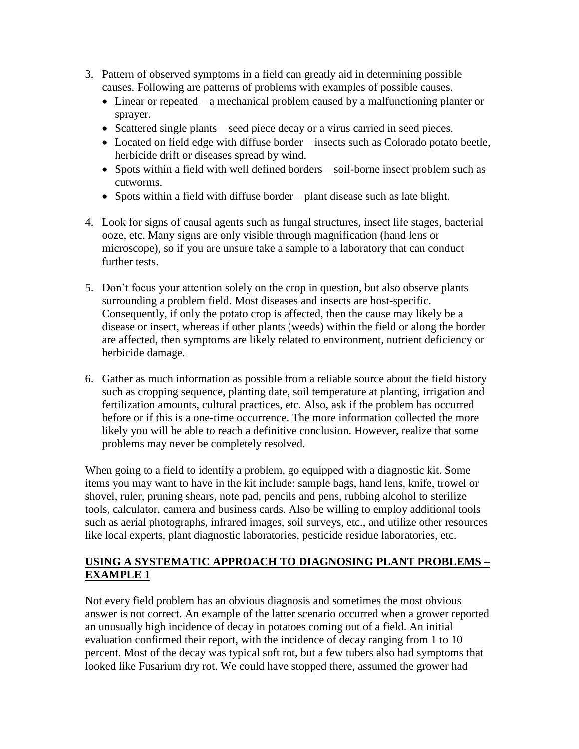- 3. Pattern of observed symptoms in a field can greatly aid in determining possible causes. Following are patterns of problems with examples of possible causes.
	- Linear or repeated a mechanical problem caused by a malfunctioning planter or sprayer.
	- Scattered single plants seed piece decay or a virus carried in seed pieces.
	- Located on field edge with diffuse border insects such as Colorado potato beetle, herbicide drift or diseases spread by wind.
	- Spots within a field with well defined borders soil-borne insect problem such as cutworms.
	- Spots within a field with diffuse border plant disease such as late blight.
- 4. Look for signs of causal agents such as fungal structures, insect life stages, bacterial ooze, etc. Many signs are only visible through magnification (hand lens or microscope), so if you are unsure take a sample to a laboratory that can conduct further tests.
- 5. Don't focus your attention solely on the crop in question, but also observe plants surrounding a problem field. Most diseases and insects are host-specific. Consequently, if only the potato crop is affected, then the cause may likely be a disease or insect, whereas if other plants (weeds) within the field or along the border are affected, then symptoms are likely related to environment, nutrient deficiency or herbicide damage.
- 6. Gather as much information as possible from a reliable source about the field history such as cropping sequence, planting date, soil temperature at planting, irrigation and fertilization amounts, cultural practices, etc. Also, ask if the problem has occurred before or if this is a one-time occurrence. The more information collected the more likely you will be able to reach a definitive conclusion. However, realize that some problems may never be completely resolved.

When going to a field to identify a problem, go equipped with a diagnostic kit. Some items you may want to have in the kit include: sample bags, hand lens, knife, trowel or shovel, ruler, pruning shears, note pad, pencils and pens, rubbing alcohol to sterilize tools, calculator, camera and business cards. Also be willing to employ additional tools such as aerial photographs, infrared images, soil surveys, etc., and utilize other resources like local experts, plant diagnostic laboratories, pesticide residue laboratories, etc.

# **USING A SYSTEMATIC APPROACH TO DIAGNOSING PLANT PROBLEMS – EXAMPLE 1**

Not every field problem has an obvious diagnosis and sometimes the most obvious answer is not correct. An example of the latter scenario occurred when a grower reported an unusually high incidence of decay in potatoes coming out of a field. An initial evaluation confirmed their report, with the incidence of decay ranging from 1 to 10 percent. Most of the decay was typical soft rot, but a few tubers also had symptoms that looked like Fusarium dry rot. We could have stopped there, assumed the grower had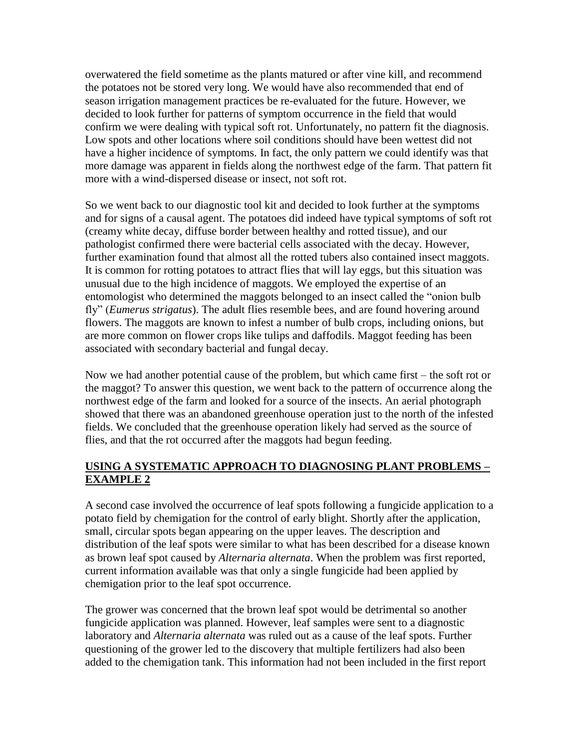overwatered the field sometime as the plants matured or after vine kill, and recommend the potatoes not be stored very long. We would have also recommended that end of season irrigation management practices be re-evaluated for the future. However, we decided to look further for patterns of symptom occurrence in the field that would confirm we were dealing with typical soft rot. Unfortunately, no pattern fit the diagnosis. Low spots and other locations where soil conditions should have been wettest did not have a higher incidence of symptoms. In fact, the only pattern we could identify was that more damage was apparent in fields along the northwest edge of the farm. That pattern fit more with a wind-dispersed disease or insect, not soft rot.

So we went back to our diagnostic tool kit and decided to look further at the symptoms and for signs of a causal agent. The potatoes did indeed have typical symptoms of soft rot (creamy white decay, diffuse border between healthy and rotted tissue), and our pathologist confirmed there were bacterial cells associated with the decay. However, further examination found that almost all the rotted tubers also contained insect maggots. It is common for rotting potatoes to attract flies that will lay eggs, but this situation was unusual due to the high incidence of maggots. We employed the expertise of an entomologist who determined the maggots belonged to an insect called the "onion bulb fly" (*Eumerus strigatus*). The adult flies resemble bees, and are found hovering around flowers. The maggots are known to infest a number of bulb crops, including onions, but are more common on flower crops like tulips and daffodils. Maggot feeding has been associated with secondary bacterial and fungal decay.

Now we had another potential cause of the problem, but which came first – the soft rot or the maggot? To answer this question, we went back to the pattern of occurrence along the northwest edge of the farm and looked for a source of the insects. An aerial photograph showed that there was an abandoned greenhouse operation just to the north of the infested fields. We concluded that the greenhouse operation likely had served as the source of flies, and that the rot occurred after the maggots had begun feeding.

# **USING A SYSTEMATIC APPROACH TO DIAGNOSING PLANT PROBLEMS – EXAMPLE 2**

A second case involved the occurrence of leaf spots following a fungicide application to a potato field by chemigation for the control of early blight. Shortly after the application, small, circular spots began appearing on the upper leaves. The description and distribution of the leaf spots were similar to what has been described for a disease known as brown leaf spot caused by *Alternaria alternata*. When the problem was first reported, current information available was that only a single fungicide had been applied by chemigation prior to the leaf spot occurrence.

The grower was concerned that the brown leaf spot would be detrimental so another fungicide application was planned. However, leaf samples were sent to a diagnostic laboratory and *Alternaria alternata* was ruled out as a cause of the leaf spots. Further questioning of the grower led to the discovery that multiple fertilizers had also been added to the chemigation tank. This information had not been included in the first report